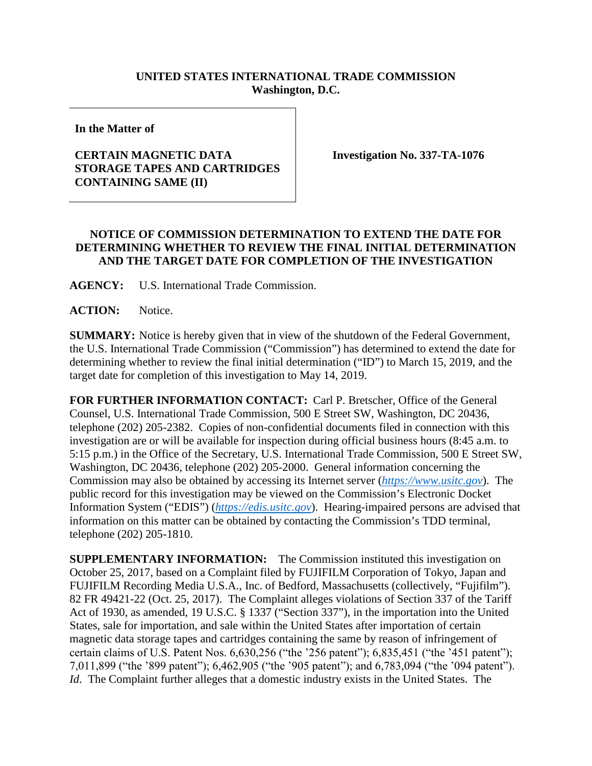## **UNITED STATES INTERNATIONAL TRADE COMMISSION Washington, D.C.**

**In the Matter of**

## **CERTAIN MAGNETIC DATA STORAGE TAPES AND CARTRIDGES CONTAINING SAME (II)**

**Investigation No. 337-TA-1076**

## **NOTICE OF COMMISSION DETERMINATION TO EXTEND THE DATE FOR DETERMINING WHETHER TO REVIEW THE FINAL INITIAL DETERMINATION AND THE TARGET DATE FOR COMPLETION OF THE INVESTIGATION**

**AGENCY:** U.S. International Trade Commission.

**ACTION:** Notice.

**SUMMARY:** Notice is hereby given that in view of the shutdown of the Federal Government, the U.S. International Trade Commission ("Commission") has determined to extend the date for determining whether to review the final initial determination ("ID") to March 15, 2019, and the target date for completion of this investigation to May 14, 2019.

**FOR FURTHER INFORMATION CONTACT:** Carl P. Bretscher, Office of the General Counsel, U.S. International Trade Commission, 500 E Street SW, Washington, DC 20436, telephone (202) 205-2382. Copies of non-confidential documents filed in connection with this investigation are or will be available for inspection during official business hours (8:45 a.m. to 5:15 p.m.) in the Office of the Secretary, U.S. International Trade Commission, 500 E Street SW, Washington, DC 20436, telephone (202) 205-2000. General information concerning the Commission may also be obtained by accessing its Internet server (*[https://www.usitc.gov](https://www.usitc.gov/)*). The public record for this investigation may be viewed on the Commission's Electronic Docket Information System ("EDIS") (*[https://edis.usitc.gov](https://edis.usitc.gov/)*). Hearing-impaired persons are advised that information on this matter can be obtained by contacting the Commission's TDD terminal, telephone (202) 205-1810.

**SUPPLEMENTARY INFORMATION:** The Commission instituted this investigation on October 25, 2017, based on a Complaint filed by FUJIFILM Corporation of Tokyo, Japan and FUJIFILM Recording Media U.S.A., Inc. of Bedford, Massachusetts (collectively, "Fujifilm"). 82 FR 49421-22 (Oct. 25, 2017). The Complaint alleges violations of Section 337 of the Tariff Act of 1930, as amended, 19 U.S.C. § 1337 ("Section 337"), in the importation into the United States, sale for importation, and sale within the United States after importation of certain magnetic data storage tapes and cartridges containing the same by reason of infringement of certain claims of U.S. Patent Nos. 6,630,256 ("the '256 patent"); 6,835,451 ("the '451 patent"); 7,011,899 ("the '899 patent"); 6,462,905 ("the '905 patent"); and 6,783,094 ("the '094 patent"). *Id*. The Complaint further alleges that a domestic industry exists in the United States. The